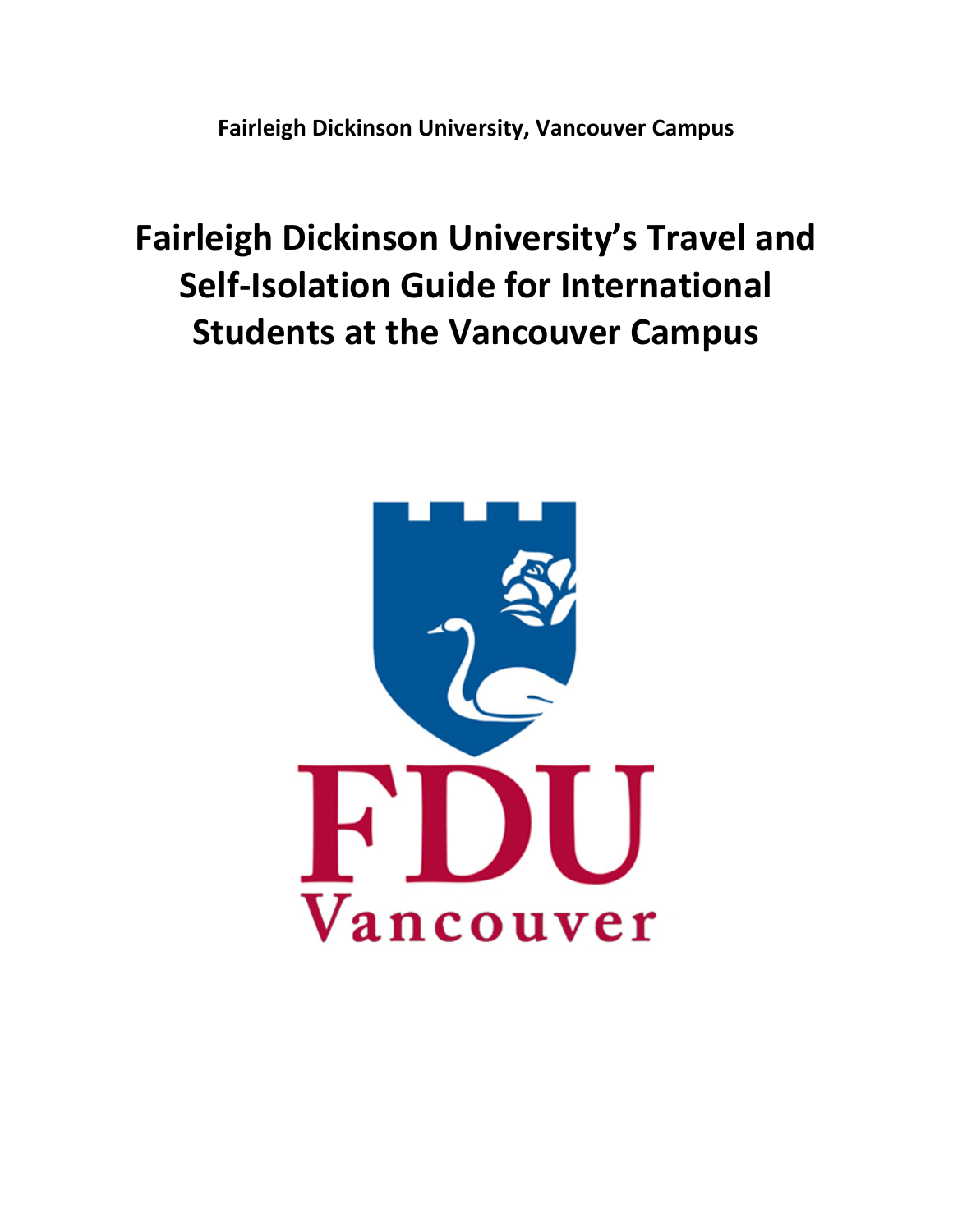**Fairleigh Dickinson University, Vancouver Campus**

# **Fairleigh Dickinson University's Travel and Self-Isolation Guide for International Students at the Vancouver Campus**

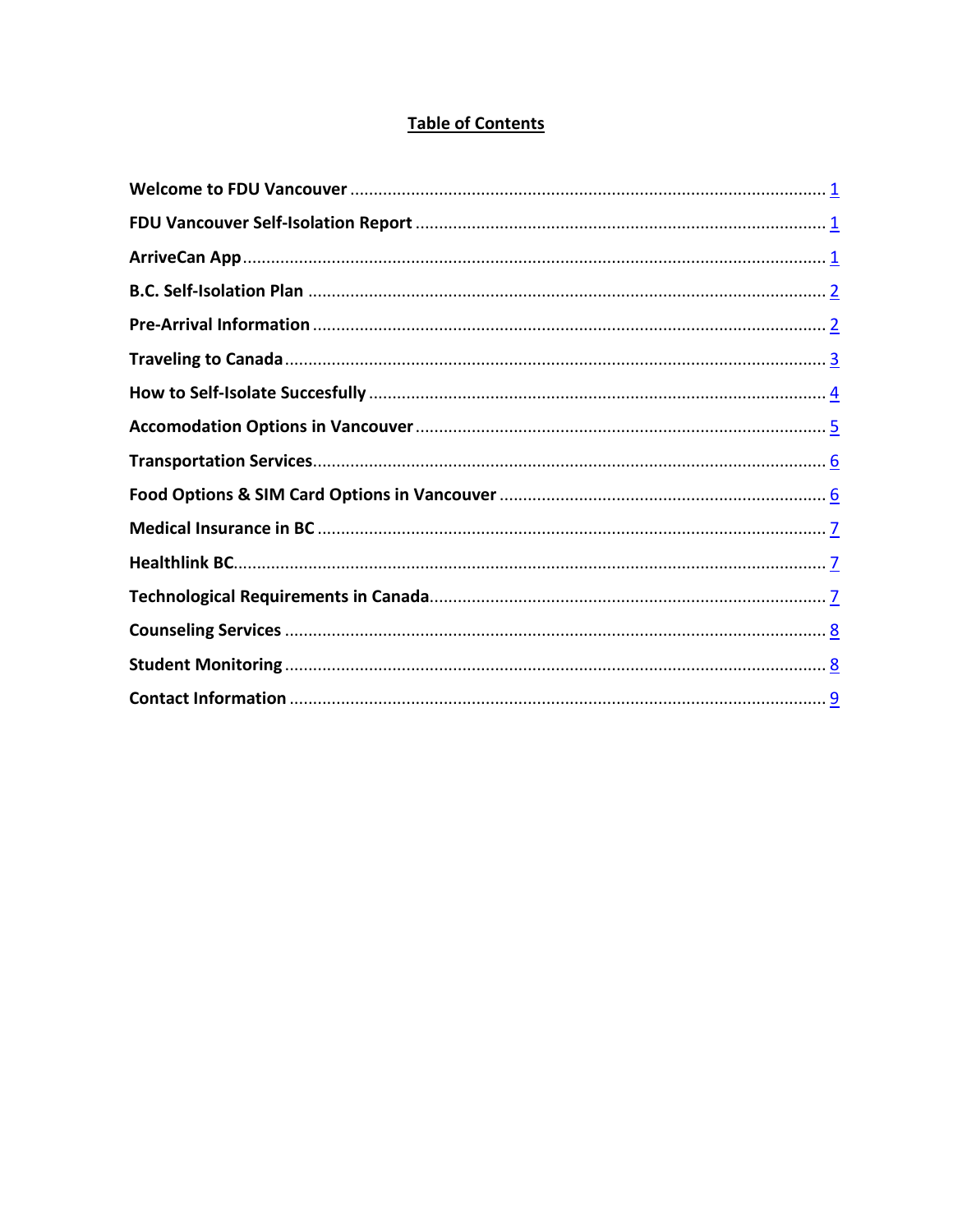# **Table of Contents**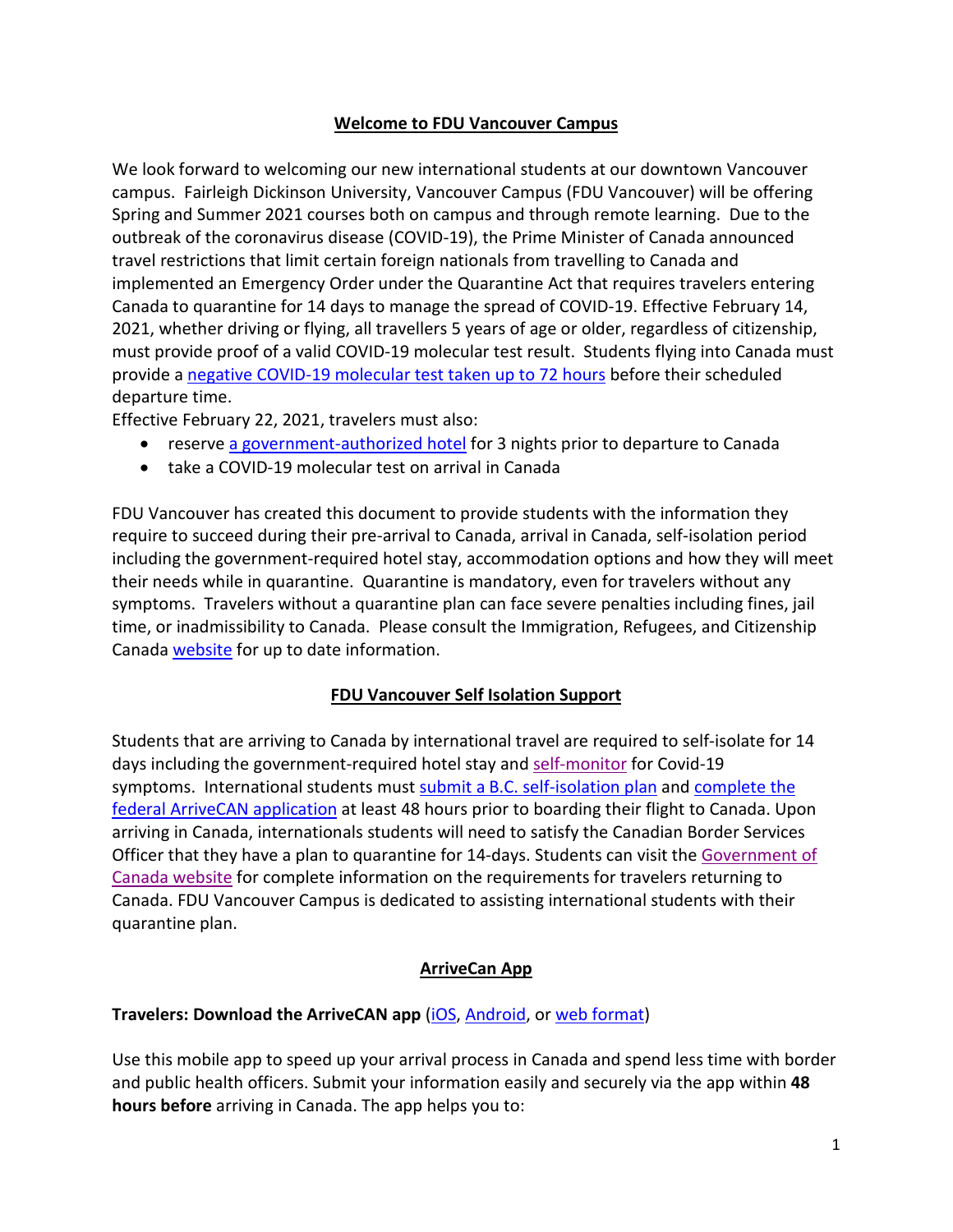## **Welcome to FDU Vancouver Campus**

We look forward to welcoming our new international students at our downtown Vancouver campus. Fairleigh Dickinson University, Vancouver Campus (FDU Vancouver) will be offering Spring and Summer 2021 courses both on campus and through remote learning. Due to the outbreak of the coronavirus disease (COVID-19), the Prime Minister of Canada announced travel restrictions that limit certain foreign nationals from travelling to Canada and implemented an Emergency Order under the Quarantine Act that requires travelers entering Canada to quarantine for 14 days to manage the spread of COVID-19. Effective February 14, 2021, whether driving or flying, all travellers 5 years of age or older, regardless of citizenship, must provide proof of a valid COVID-19 molecular test result. Students flying into Canada must provide a [negative COVID-19 molecular test taken up to 72 hours](https://travel.gc.ca/travel-covid/travel-restrictions/flying/covid-19-testing-travellers-coming-into-canada#getting-tested) before their scheduled departure time.

Effective February 22, 2021, travelers must also:

- reserve [a government-authorized hotel](https://nam02.safelinks.protection.outlook.com/?url=https%3A%2F%2Fwww.canada.ca%2Fen%2Fpublic-health%2Fservices%2Fdiseases%2F2019-novel-coronavirus-infection%2Flatest-travel-health-advice%2Fmandatory-hotel-stay-air-travellers%2Flist-government-authorized-hotels-booking.html&data=04%7C01%7Cjobin%40fdu.edu%7C419cac8f96c840e276d208d8d5347646%7C3224fad94bcc4d47ae9886ea3c6b3b13%7C1%7C0%7C637493768646547608%7CUnknown%7CTWFpbGZsb3d8eyJWIjoiMC4wLjAwMDAiLCJQIjoiV2luMzIiLCJBTiI6Ik1haWwiLCJXVCI6Mn0%3D%7C1000&sdata=eHMT79ei9PG5ta21t5Js7PM4p6e0jb4qCvX%2FSB2uV0s%3D&reserved=0) for 3 nights prior to departure to Canada
- take a COVID-19 molecular test on arrival in Canada

FDU Vancouver has created this document to provide students with the information they require to succeed during their pre-arrival to Canada, arrival in Canada, self-isolation period including the government-required hotel stay, accommodation options and how they will meet their needs while in quarantine. Quarantine is mandatory, even for travelers without any symptoms. Travelers without a quarantine plan can face severe penalties including fines, jail time, or inadmissibility to Canada. Please consult the Immigration, Refugees, and Citizenship Canada [website](https://www.canada.ca/en/immigration-refugees-citizenship/services/coronavirus-covid19.html) for up to date information.

#### **FDU Vancouver Self Isolation Support**

Students that are arriving to Canada by international travel are required to self-isolate for 14 days including the government-required hotel stay an[d self-monitor](http://www.bccdc.ca/Health-Info-Site/Documents/Self-monitoring.pdf) for Covid-19 symptoms. International students must [submit a B.C. self-isolation plan](https://www2.gov.bc.ca/gov/content/safety/emergency-preparedness-response-recovery/covid-19-provincial-support/self-isolation-on-return#complete-plan) and complete the [federal ArriveCAN application](https://www2.gov.bc.ca/gov/content/safety/emergency-preparedness-response-recovery/covid-19-provincial-support/self-isolation-on-return#federal-plan) at least 48 hours prior to boarding their flight to Canada. Upon arriving in Canada, internationals students will need to satisfy the Canadian Border Services Officer that they have a plan to quarantine for 14-days. Students can visit the Government of [Canada website](https://www.canada.ca/en/public-health/services/diseases/2019-novel-coronavirus-infection/latest-travel-health-advice.html#f) for complete information on the requirements for travelers returning to Canada. FDU Vancouver Campus is dedicated to assisting international students with their quarantine plan.

## **ArriveCan App**

#### **Travelers: Download the ArriveCAN app [\(iOS,](https://apps.apple.com/us/app/canarrive/id1505394667?mt=8) [Android,](https://play.google.com/store/apps/details?id=ca.gc.cbsa.coronavirus) or [web format\)](https://arrivecan.cbsa-asfc.cloud-nuage.canada.ca/)**

Use this mobile app to speed up your arrival process in Canada and spend less time with border and public health officers. Submit your information easily and securely via the app within **48 hours before** arriving in Canada. The app helps you to: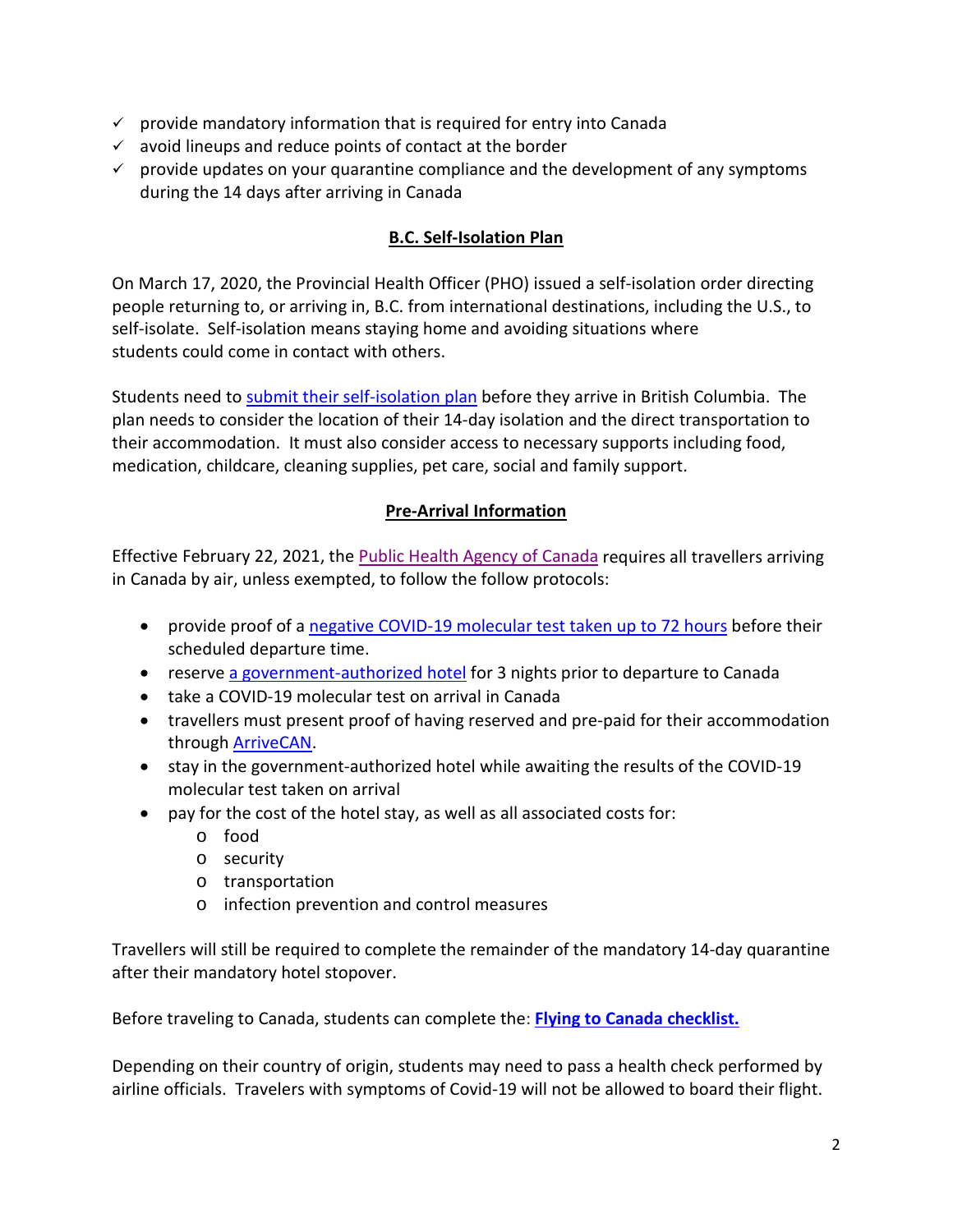- $\checkmark$  provide mandatory information that is required for entry into Canada
- $\checkmark$  avoid lineups and reduce points of contact at the border
- $\checkmark$  provide updates on your quarantine compliance and the development of any symptoms during the 14 days after arriving in Canada

## **B.C. Self-Isolation Plan**

On March 17, 2020, the Provincial Health Officer (PHO) [issued a self-isolation](https://www2.gov.bc.ca/assets/gov/health/about-bc-s-health-care-system/office-of-the-provincial-health-officer/reports-publications/covid-19-pho-class-order-travellers.pdf) order directing people returning to, or arriving in, B.C. from international destinations, including the U.S., to self-isolate. Self-isolation means staying home and avoiding situations where students could come in contact with others.

Students need to [submit their self-isolation plan](https://travelscreening.gov.bc.ca/) before they arrive in British Columbia. The plan needs to consider the location of their 14-day isolation and the direct transportation to their accommodation. It must also consider access to necessary supports including food, medication, childcare, cleaning supplies, pet care, social and family support.

# **Pre-Arrival Information**

Effective February 22, 2021, the [Public Health Agency of Canada](https://nam02.safelinks.protection.outlook.com/?url=https%3A%2F%2Fwww.canada.ca%2Fen%2Fpublic-health%2Fservices%2Fdiseases%2F2019-novel-coronavirus-infection%2Fawareness-resources%2Fentering-canada-covid-19.html&data=04%7C01%7Cjobin%40fdu.edu%7C419cac8f96c840e276d208d8d5347646%7C3224fad94bcc4d47ae9886ea3c6b3b13%7C1%7C0%7C637493768646537616%7CUnknown%7CTWFpbGZsb3d8eyJWIjoiMC4wLjAwMDAiLCJQIjoiV2luMzIiLCJBTiI6Ik1haWwiLCJXVCI6Mn0%3D%7C1000&sdata=x8ysAh7u46x%2F3C2UGJVrT5dtdp0xuA%2F7Azv7Aktb%2F5I%3D&reserved=0) requires all travellers arriving in Canada by air, unless exempted, to follow the follow protocols:

- provide proof of [a negative COVID-19 molecular test taken up to 72 hours](https://travel.gc.ca/travel-covid/travel-restrictions/flying/covid-19-testing-travellers-coming-into-canada#getting-tested) before their scheduled departure time.
- reserve [a government-authorized hotel](https://nam02.safelinks.protection.outlook.com/?url=https%3A%2F%2Fwww.canada.ca%2Fen%2Fpublic-health%2Fservices%2Fdiseases%2F2019-novel-coronavirus-infection%2Flatest-travel-health-advice%2Fmandatory-hotel-stay-air-travellers%2Flist-government-authorized-hotels-booking.html&data=04%7C01%7Cjobin%40fdu.edu%7C419cac8f96c840e276d208d8d5347646%7C3224fad94bcc4d47ae9886ea3c6b3b13%7C1%7C0%7C637493768646547608%7CUnknown%7CTWFpbGZsb3d8eyJWIjoiMC4wLjAwMDAiLCJQIjoiV2luMzIiLCJBTiI6Ik1haWwiLCJXVCI6Mn0%3D%7C1000&sdata=eHMT79ei9PG5ta21t5Js7PM4p6e0jb4qCvX%2FSB2uV0s%3D&reserved=0) for 3 nights prior to departure to Canada
- take a COVID-19 molecular test on arrival in Canada
- travellers must present proof of having reserved and pre-paid for their accommodation through [ArriveCAN.](https://nam02.safelinks.protection.outlook.com/?url=https%3A%2F%2Fwww.canada.ca%2Fen%2Fpublic-health%2Fservices%2Fdiseases%2Fcoronavirus-disease-covid-19%2Farrivecan.html&data=04%7C01%7Cjobin%40fdu.edu%7C419cac8f96c840e276d208d8d5347646%7C3224fad94bcc4d47ae9886ea3c6b3b13%7C1%7C0%7C637493768646557609%7CUnknown%7CTWFpbGZsb3d8eyJWIjoiMC4wLjAwMDAiLCJQIjoiV2luMzIiLCJBTiI6Ik1haWwiLCJXVCI6Mn0%3D%7C1000&sdata=trSSZ16AYTU02PSv%2BiXr0jJq%2FlOsylqJIeq63OUKOF4%3D&reserved=0)
- stay in the government-authorized hotel while awaiting the results of the COVID-19 molecular test taken on arrival
- pay for the cost of the hotel stay, as well as all associated costs for:
	- o food
	- o security
	- o transportation
	- o infection prevention and control measures

Travellers will still be required to complete the remainder of the mandatory 14-day quarantine after their mandatory hotel stopover.

Before traveling to Canada, students can complete the: **[Flying to Canada checklist.](https://travel.gc.ca/travel-covid/travel-restrictions/flying-canada-checklist)**

Depending on their country of origin, students may need to pass a health check performed by airline officials. Travelers with symptoms of Covid-19 will not be allowed to board their flight.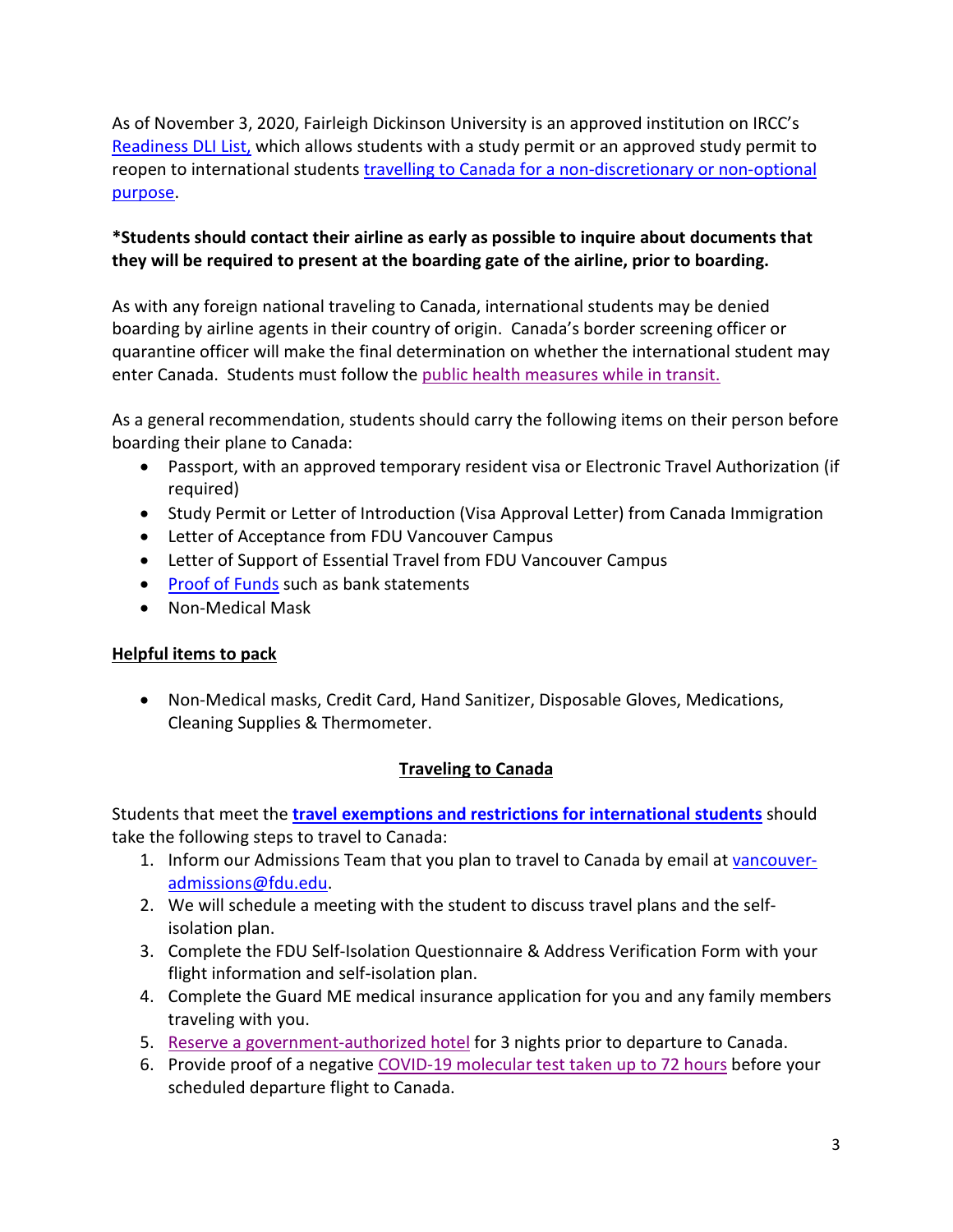As of November 3, 2020, Fairleigh Dickinson University is an approved institution on IRCC's [Readiness DLI List,](https://www.canada.ca/en/immigration-refugees-citizenship/services/coronavirus-covid19/students/approved-dli.html) which allows students with a study permit or an approved study permit to reopen to international students [travelling to Canada for a non-discretionary or non-optional](https://www.canada.ca/en/immigration-refugees-citizenship/services/coronavirus-covid19/students.html#exemptions)  [purpose.](https://www.canada.ca/en/immigration-refugees-citizenship/services/coronavirus-covid19/students.html#exemptions)

# **\*Students should contact their airline as early as possible to inquire about documents that they will be required to present at the boarding gate of the airline, prior to boarding.**

As with any foreign national traveling to Canada, international students may be denied boarding by airline agents in their country of origin. Canada's border screening officer or quarantine officer will make the final determination on whether the international student may enter Canada. Students must follow the [public health measures while in transit.](https://www.canada.ca/en/public-health/services/publications/diseases-conditions/2019-novel-coronavirus-information-sheet.html)

As a general recommendation, students should carry the following items on their person before boarding their plane to Canada:

- Passport, with an approved temporary resident visa or Electronic Travel Authorization (if required)
- Study Permit or Letter of Introduction (Visa Approval Letter) from Canada Immigration
- Letter of Acceptance from FDU Vancouver Campus
- Letter of Support of Essential Travel from FDU Vancouver Campus
- [Proof of Funds](https://www.canada.ca/en/immigration-refugees-citizenship/services/study-canada/study-permit/get-documents.html#doc3) such as bank statements
- Non-Medical Mask

# **Helpful items to pack**

• Non-Medical masks, Credit Card, Hand Sanitizer, Disposable Gloves, Medications, Cleaning Supplies & Thermometer.

# **Traveling to Canada**

Students that meet the **[travel exemptions and restrictions for international students](https://www.canada.ca/en/immigration-refugees-citizenship/services/coronavirus-covid19/students.html#exemptions)** should take the following steps to travel to Canada:

- 1. Inform our Admissions Team that you plan to travel to Canada by email a[t vancouver](mailto:vancouver-admissions@fdu.edu)[admissions@fdu.edu.](mailto:vancouver-admissions@fdu.edu)
- 2. We will schedule a meeting with the student to discuss travel plans and the selfisolation plan.
- 3. Complete the FDU Self-Isolation Questionnaire & Address Verification Form with your flight information and self-isolation plan.
- 4. Complete the Guard ME medical insurance application for you and any family members traveling with you.
- 5. [Reserve a government-authorized hotel](https://www.canada.ca/en/public-health/services/diseases/2019-novel-coronavirus-infection/latest-travel-health-advice/mandatory-hotel-stay-air-travellers/list-government-authorized-hotels-booking.html) for 3 nights prior to departure to Canada.
- 6. Provide proof of a negative [COVID-19 molecular test taken up to 72 hours](https://travel.gc.ca/travel-covid/travel-restrictions/flying/covid-19-testing-travellers-coming-into-canada#getting-tested) before your scheduled departure flight to Canada.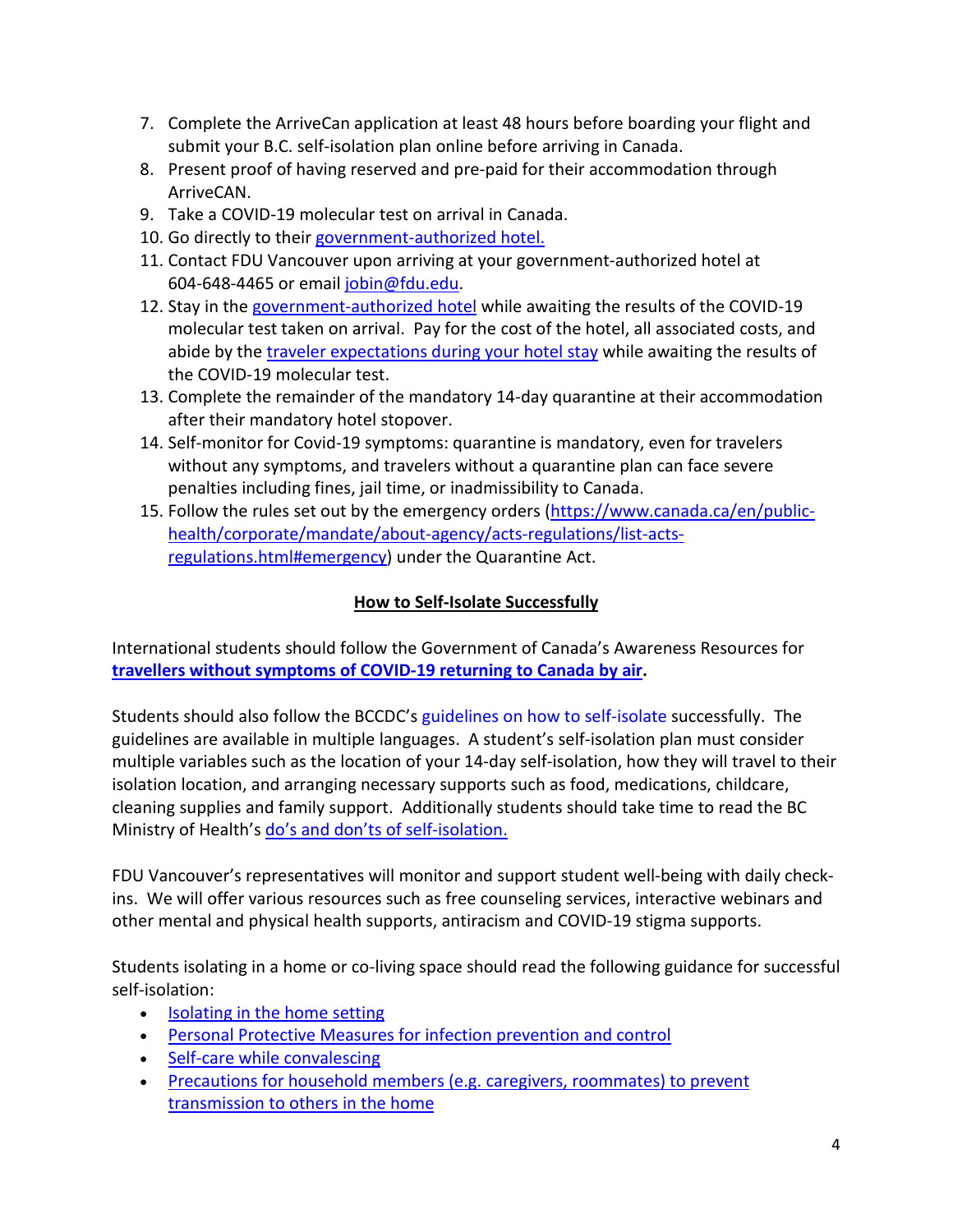- 7. Complete the ArriveCan application at least 48 hours before boarding your flight and submit your B.C. self-isolation plan online before arriving in Canada.
- 8. Present proof of having reserved and pre-paid for their accommodation through ArriveCAN.
- 9. Take a COVID-19 molecular test on arrival in Canada.
- 10. Go directly to their [government-authorized hotel.](https://www.canada.ca/en/public-health/services/diseases/2019-novel-coronavirus-infection/latest-travel-health-advice/mandatory-hotel-stay-air-travellers/traveller-expectations-hotel-stay.html)
- 11. Contact FDU Vancouver upon arriving at your government-authorized hotel at 604-648-4465 or email [jobin@fdu.edu.](mailto:jobin@fdu.edu)
- 12. Stay in the [government-authorized hotel](https://www.canada.ca/en/public-health/services/diseases/2019-novel-coronavirus-infection/latest-travel-health-advice/mandatory-hotel-stay-air-travellers/traveller-expectations-hotel-stay.html) while awaiting the results of the COVID-19 molecular test taken on arrival. Pay for the cost of the hotel, all associated costs, and abide by the [traveler expectations during your hotel stay](https://www.canada.ca/en/public-health/services/diseases/2019-novel-coronavirus-infection/latest-travel-health-advice/mandatory-hotel-stay-air-travellers/traveller-expectations-hotel-stay.html#a3) while awaiting the results of the COVID-19 molecular test.
- 13. Complete the remainder of the mandatory 14-day quarantine at their accommodation after their mandatory hotel stopover.
- 14. Self-monitor for Covid-19 symptoms: quarantine is mandatory, even for travelers without any symptoms, and travelers without a quarantine plan can face severe penalties including fines, jail time, or inadmissibility to Canada.
- 15. Follow the rules set out by the emergency orders [\(https://www.canada.ca/en/public](https://www.canada.ca/en/public-health/corporate/mandate/about-agency/acts-regulations/list-acts-regulations.html#emergency)[health/corporate/mandate/about-agency/acts-regulations/list-acts](https://www.canada.ca/en/public-health/corporate/mandate/about-agency/acts-regulations/list-acts-regulations.html#emergency)[regulations.html#emergency\)](https://www.canada.ca/en/public-health/corporate/mandate/about-agency/acts-regulations/list-acts-regulations.html#emergency) under the Quarantine Act.

# **How to Self-Isolate Successfully**

International students should follow the Government of Canada's Awareness Resources for **[travellers without symptoms of COVID-19 returning to Canada by air.](https://www.canada.ca/en/public-health/services/publications/diseases-conditions/2019-novel-coronavirus-information-sheet.html)**

Students should also follow the BCCDC's [guidelines on how to self-isolate](http://www.bccdc.ca/health-info/diseases-conditions/covid-19/self-isolation) successfully. The guidelines are available in multiple languages. A student's self-isolation plan must consider multiple variables such as the location of your 14-day self-isolation, how they will travel to their isolation location, and arranging necessary supports such as food, medications, childcare, cleaning supplies and family support. Additionally students should take time to read the BC Ministry of Health's [do's and don'ts of self-isolation.](http://www.bccdc.ca/Health-Info-Site/Documents/Self-isolation_dos_donts.pdf)

FDU Vancouver's representatives will monitor and support student well-being with daily checkins. We will offer various resources such as free counseling services, interactive webinars and other mental and physical health supports, antiracism and COVID-19 stigma supports.

Students isolating in a home or co-living space should read the following guidance for successful self-isolation:

- [Isolating in the home setting](https://www.canada.ca/en/public-health/services/diseases/2019-novel-coronavirus-infection/health-professionals/interim-guidance-cases-contacts.html#si)
- [Personal Protective Measures for infection prevention and control](https://www.canada.ca/en/public-health/services/diseases/2019-novel-coronavirus-infection/health-professionals/interim-guidance-cases-contacts.html#ppm)
- [Self-care while convalescing](https://www.canada.ca/en/public-health/services/diseases/2019-novel-coronavirus-infection/health-professionals/interim-guidance-cases-contacts.html#sc)
- [Precautions for household members \(e.g. caregivers, roommates\) to prevent](https://www.canada.ca/en/public-health/services/diseases/2019-novel-coronavirus-infection/health-professionals/interim-guidance-cases-contacts.html#ph)  transmission [to others in the home](https://www.canada.ca/en/public-health/services/diseases/2019-novel-coronavirus-infection/health-professionals/interim-guidance-cases-contacts.html#ph)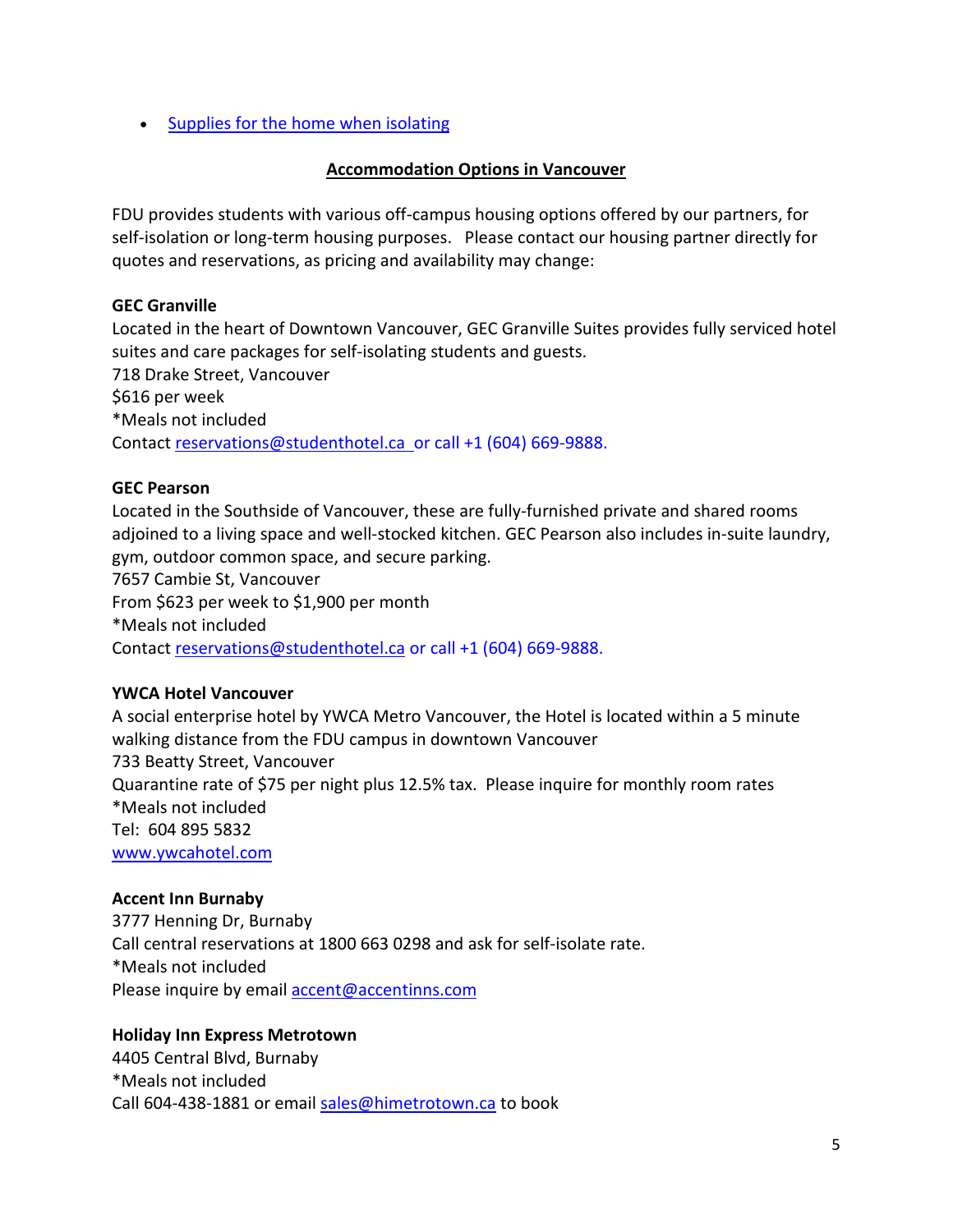• [Supplies for the home when isolating](https://www.canada.ca/en/public-health/services/diseases/2019-novel-coronavirus-infection/health-professionals/interim-guidance-cases-contacts.html#sh)

## **Accommodation Options in Vancouver**

FDU provides students with various off-campus housing options offered by our partners, for self-isolation or long-term housing purposes. Please contact our housing partner directly for quotes and reservations, as pricing and availability may change:

## **GEC Granville**

Located in the heart of Downtown Vancouver, GEC Granville Suites provides fully serviced hotel suites and care packages for self-isolating students and guests. 718 Drake Street, Vancouver \$616 per week \*Meals not included

Contact [reservations@studenthotel.ca](mailto:reservations@studenthotel.ca) or call +1 (604) 669-9888.

## **GEC Pearson**

Located in the Southside of Vancouver, these are fully-furnished private and shared rooms adjoined to a living space and well-stocked kitchen. GEC Pearson also includes in-suite laundry, gym, outdoor common space, and secure parking.

7657 Cambie St, Vancouver

From \$623 per week to \$1,900 per month

\*Meals not included

Contact [reservations@studenthotel.ca](mailto:reservations@studenthotel.ca) or call +1 (604) 669-9888.

## **YWCA Hotel Vancouver**

A social enterprise hotel by YWCA Metro Vancouver, the Hotel is located within a 5 minute walking distance from the FDU campus in downtown Vancouver 733 Beatty Street, Vancouver Quarantine rate of \$75 per night plus 12.5% tax. Please inquire for monthly room rates \*Meals not included Tel: 604 895 5832 [www.ywcahotel.com](https://nam02.safelinks.protection.outlook.com/?url=http%3A%2F%2Fwww.ywcahotel.com%2F&data=02%7C01%7Cjobin%40fdu.edu%7C20830413102f4349fe0f08d7dc00c97a%7C3224fad94bcc4d47ae9886ea3c6b3b13%7C1%7C0%7C637219768287161456&sdata=2bui3m9vvz8jFMyeTap1nQEgUiw8uyna%2FS2jcIqqcJE%3D&reserved=0)

## **Accent Inn Burnaby**

3777 Henning Dr, Burnaby Call central reservations at 1800 663 0298 and ask for self-isolate rate. \*Meals not included Please inquire by email [accent@accentinns.com](mailto:accent@accentinns.com)

## **Holiday Inn Express Metrotown**

4405 Central Blvd, Burnaby \*Meals not included Call 604-438-1881 or email [sales@himetrotown.ca](mailto:sales@himetrotown.ca) to book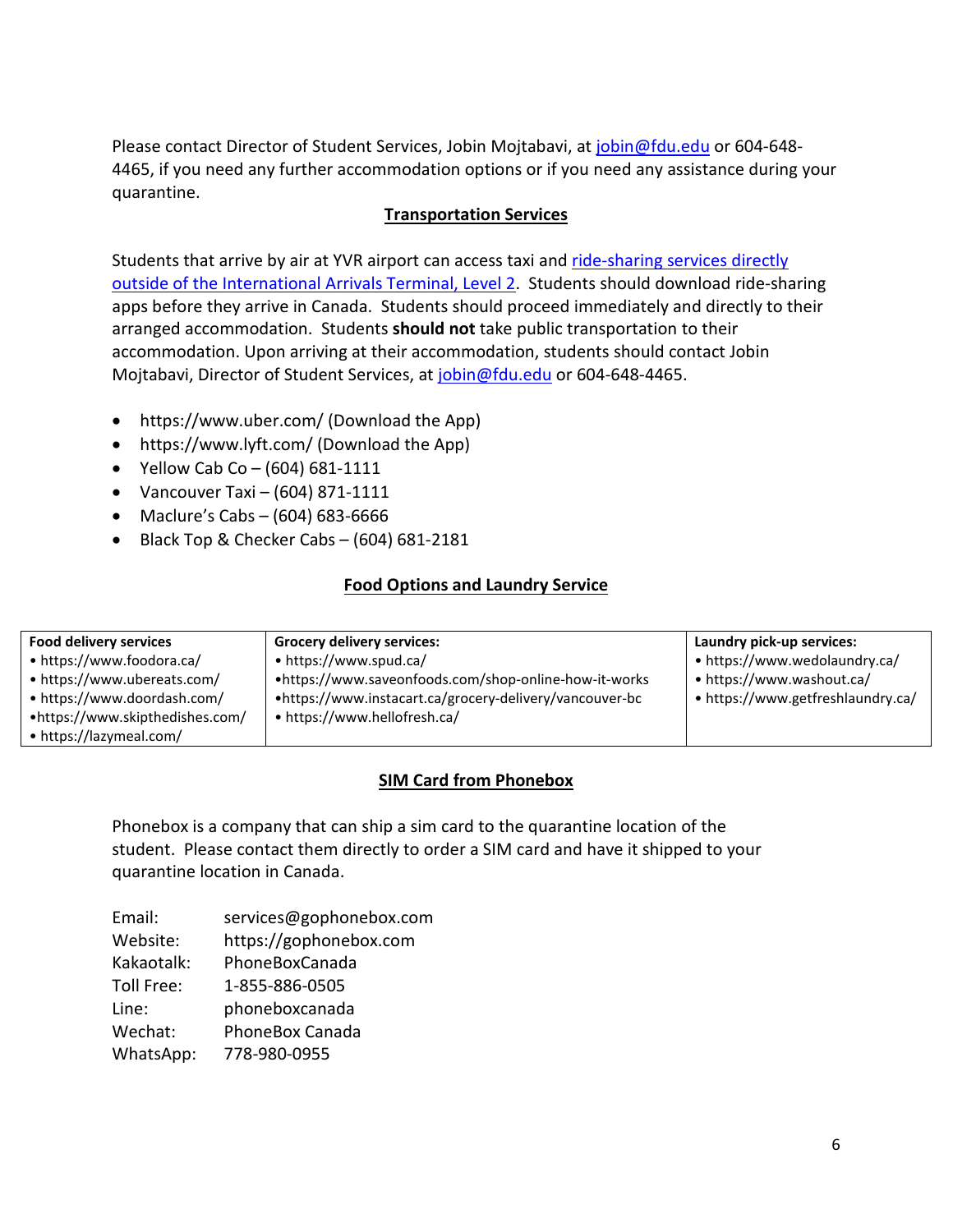Please contact Director of Student Services, Jobin Mojtabavi, at [jobin@fdu.edu](mailto:jobin@fdu.edu) or 604-648- 4465, if you need any further accommodation options or if you need any assistance during your quarantine.

## **Transportation Services**

Students that arrive by air at YVR airport can access taxi and [ride-sharing services directly](https://www.yvr.ca/en/passengers/transportation/ride-app-services)  [outside of the International Arrivals Terminal, Level 2.](https://www.yvr.ca/en/passengers/transportation/ride-app-services) Students should download ride-sharing apps before they arrive in Canada. Students should proceed immediately and directly to their arranged accommodation. Students **should not** take public transportation to their accommodation. Upon arriving at their accommodation, students should contact Jobin Mojtabavi, Director of Student Services, at [jobin@fdu.edu](mailto:jobin@fdu.edu) or 604-648-4465.

- <https://www.uber.com/> (Download the App)
- <https://www.lyft.com/> (Download the App)
- Yellow Cab Co  $(604)$  681-1111
- Vancouver Taxi  $(604)$  871-1111
- Maclure's Cabs (604) 683-6666
- Black Top & Checker Cabs (604) 681-2181

#### **Food Options and Laundry Service**

| <b>Food delivery services</b>   | <b>Grocery delivery services:</b>                       | Laundry pick-up services:         |
|---------------------------------|---------------------------------------------------------|-----------------------------------|
| • https://www.foodora.ca/       | • https://www.spud.ca/                                  | • https://www.wedolaundry.ca/     |
| • https://www.ubereats.com/     | •https://www.saveonfoods.com/shop-online-how-it-works   | • https://www.washout.ca/         |
| • https://www.doordash.com/     | •https://www.instacart.ca/grocery-delivery/vancouver-bc | • https://www.getfreshlaundry.ca/ |
| •https://www.skipthedishes.com/ | • https://www.hellofresh.ca/                            |                                   |
| • https://lazymeal.com/         |                                                         |                                   |

#### **SIM Card from Phonebox**

Phonebox is a company that can ship a sim card to the quarantine location of the student. Please contact them directly to order a SIM card and have it shipped to your quarantine location in Canada.

| Email:     | services@gophonebox.com |
|------------|-------------------------|
| Website:   | https://gophonebox.com  |
| Kakaotalk: | PhoneBoxCanada          |
| Toll Free: | 1-855-886-0505          |
| Line:      | phoneboxcanada          |
| Wechat:    | <b>PhoneBox Canada</b>  |
| WhatsApp:  | 778-980-0955            |
|            |                         |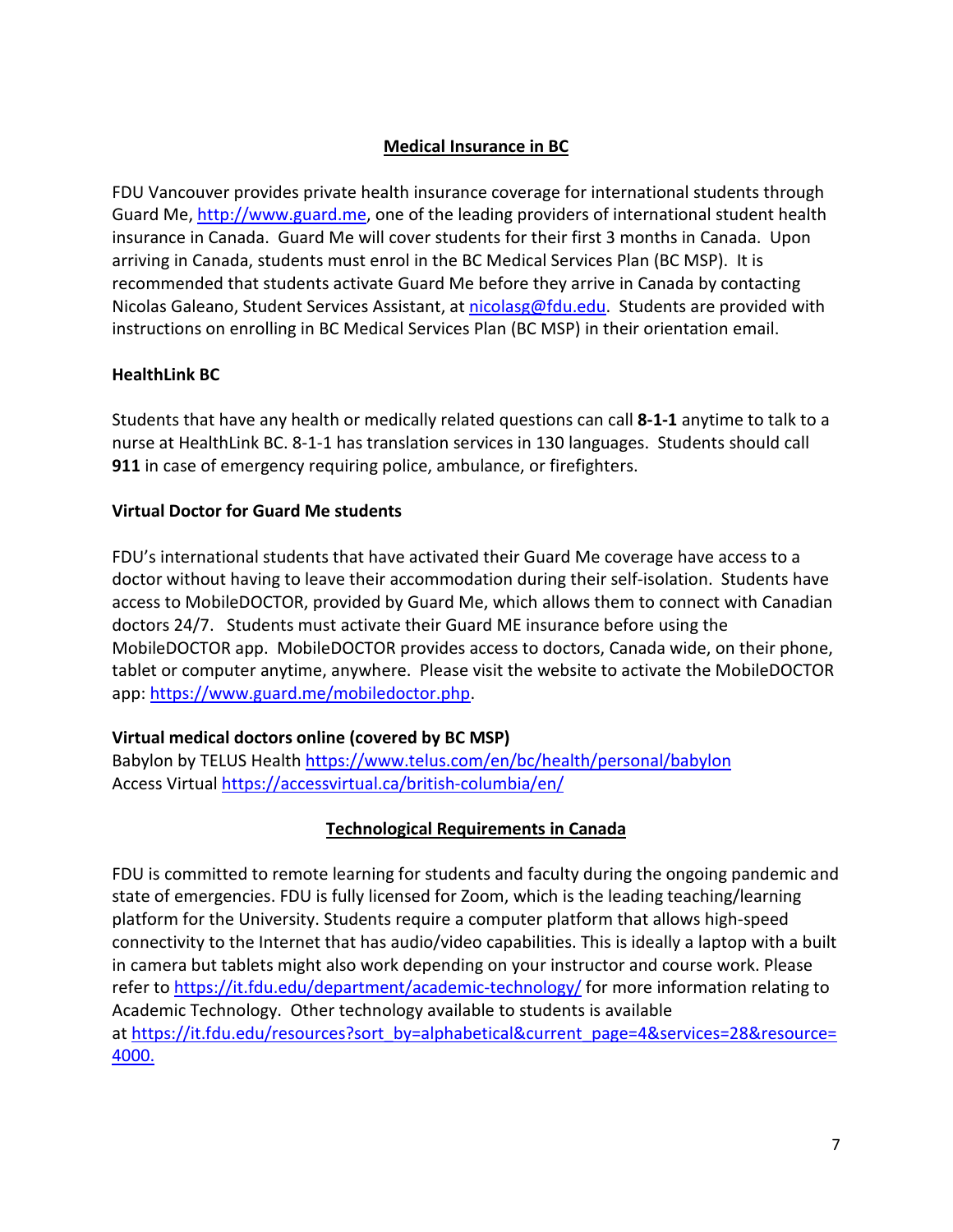# **Medical Insurance in BC**

FDU Vancouver provides private health insurance coverage for international students through Guard Me, [http://www.guard.me,](http://www.guard.me/) one of the leading providers of international student health insurance in Canada. Guard Me will cover students for their first 3 months in Canada. Upon arriving in Canada, students must enrol in the BC Medical Services Plan (BC MSP). It is recommended that students activate Guard Me before they arrive in Canada by contacting Nicolas Galeano, Student Services Assistant, at [nicolasg@fdu.edu.](mailto:nicolasg@fdu.edu) Students are provided with instructions on enrolling in BC Medical Services Plan (BC MSP) in their orientation email.

## **HealthLink BC**

Students that have any health or medically related questions can call **8-1-1** anytime to talk to a nurse at HealthLink BC. 8-1-1 has translation services in 130 languages. Students should call **911** in case of emergency requiring police, ambulance, or firefighters.

#### **Virtual Doctor for Guard Me students**

FDU's international students that have activated their Guard Me coverage have access to a doctor without having to leave their accommodation during their self-isolation. Students have access to MobileDOCTOR, provided by Guard Me, which allows them to connect with Canadian doctors 24/7. Students must activate their Guard ME insurance before using the MobileDOCTOR app. MobileDOCTOR provides access to doctors, Canada wide, on their phone, tablet or computer anytime, anywhere. Please visit the website to activate the MobileDOCTOR app: [https://www.guard.me/mobiledoctor.php.](https://www.guard.me/mobiledoctor.php)

## **Virtual medical doctors online (covered by BC MSP)**

Babylon by TELUS Health<https://www.telus.com/en/bc/health/personal/babylon> Access Virtual<https://accessvirtual.ca/british-columbia/en/>

## **Technological Requirements in Canada**

FDU is committed to remote learning for students and faculty during the ongoing pandemic and state of emergencies. FDU is fully licensed for Zoom, which is the leading teaching/learning platform for the University. Students require a computer platform that allows high-speed connectivity to the Internet that has audio/video capabilities. This is ideally a laptop with a built in camera but tablets might also work depending on your instructor and course work. Please refer to <https://it.fdu.edu/department/academic-technology/> for more information relating to Academic Technology. Other technology available to students is available at [https://it.fdu.edu/resources?sort\\_by=alphabetical&current\\_page=4&services=28&resource=](https://it.fdu.edu/resources?sort_by=alphabetical¤t_page=4&services=28&resource=4000) [4000.](https://it.fdu.edu/resources?sort_by=alphabetical¤t_page=4&services=28&resource=4000)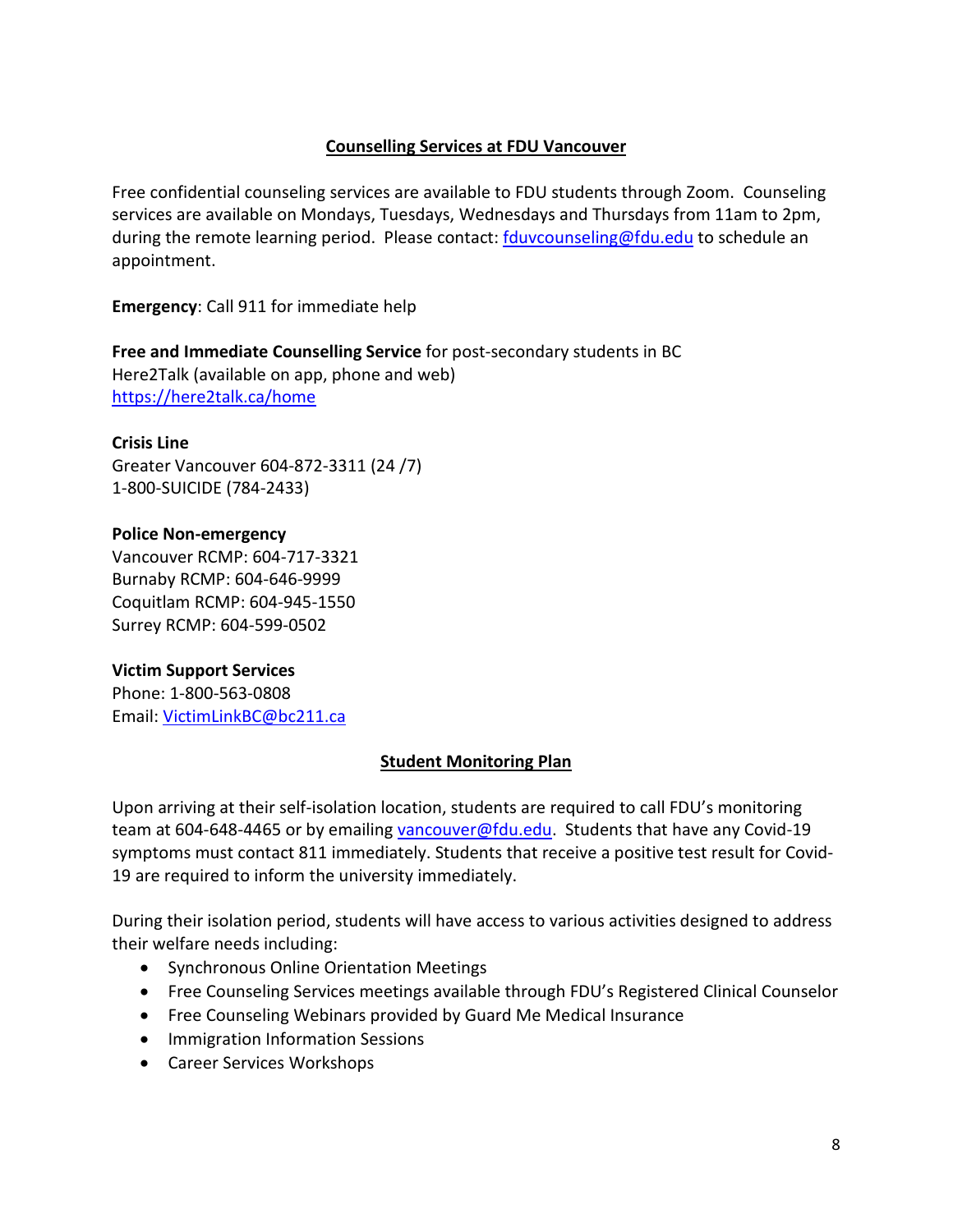#### **Counselling Services at FDU Vancouver**

Free confidential counseling services are available to FDU students through Zoom. Counseling services are available on Mondays, Tuesdays, Wednesdays and Thursdays from 11am to 2pm, during the remote learning period. Please contact: [fduvcounseling@fdu.edu](mailto:fduvcounseling@fdu.edu) to schedule an appointment.

**Emergency**: Call 911 for immediate help

**Free and Immediate Counselling Service** for post-secondary students in BC Here2Talk (available on app, phone and web) <https://here2talk.ca/home>

**Crisis Line** Greater Vancouver 604-872-3311 (24 /7) 1-800-SUICIDE (784-2433)

#### **Police Non-emergency**

Vancouver RCMP: 604-717-3321 Burnaby RCMP: 604-646-9999 Coquitlam RCMP: 604-945-1550 Surrey RCMP: 604-599-0502

#### **Victim Support Services**

Phone: 1-800-563-0808 Email: [VictimLinkBC@bc211.ca](mailto:VictimLinkBC@bc211.ca)

## **Student Monitoring Plan**

Upon arriving at their self-isolation location, students are required to call FDU's monitoring team at 604-648-4465 or by emailing [vancouver@fdu.edu.](mailto:vancouver@fdu.edu) Students that have any Covid-19 symptoms must contact 811 immediately. Students that receive a positive test result for Covid-19 are required to inform the university immediately.

During their isolation period, students will have access to various activities designed to address their welfare needs including:

- Synchronous Online Orientation Meetings
- Free Counseling Services meetings available through FDU's Registered Clinical Counselor
- Free Counseling Webinars provided by Guard Me Medical Insurance
- Immigration Information Sessions
- Career Services Workshops